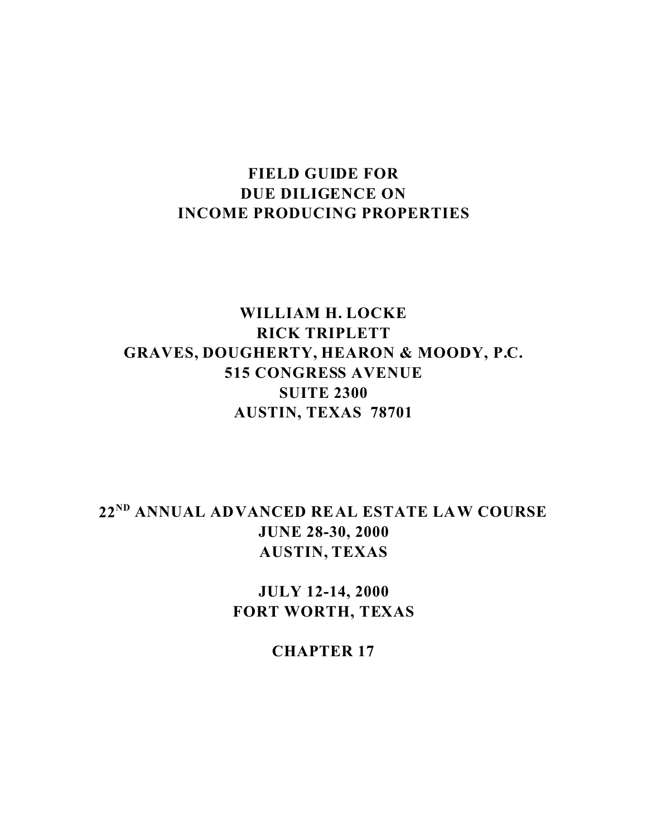# **FIELD GUIDE FOR DUE DILIGENCE ON INCOME PRODUCING PROPERTIES**

# **WILLIAM H. LOCKE RICK TRIPLETT GRAVES, DOUGHERTY, HEARON & MOODY, P.C. 515 CONGRESS AVENUE SUITE 2300 AUSTIN, TEXAS 78701**

**22ND ANNUAL ADVANCED REAL ESTATE LAW COURSE JUNE 28-30, 2000 AUSTIN, TEXAS**

> **JULY 12-14, 2000 FORT WORTH, TEXAS**

> > **CHAPTER 17**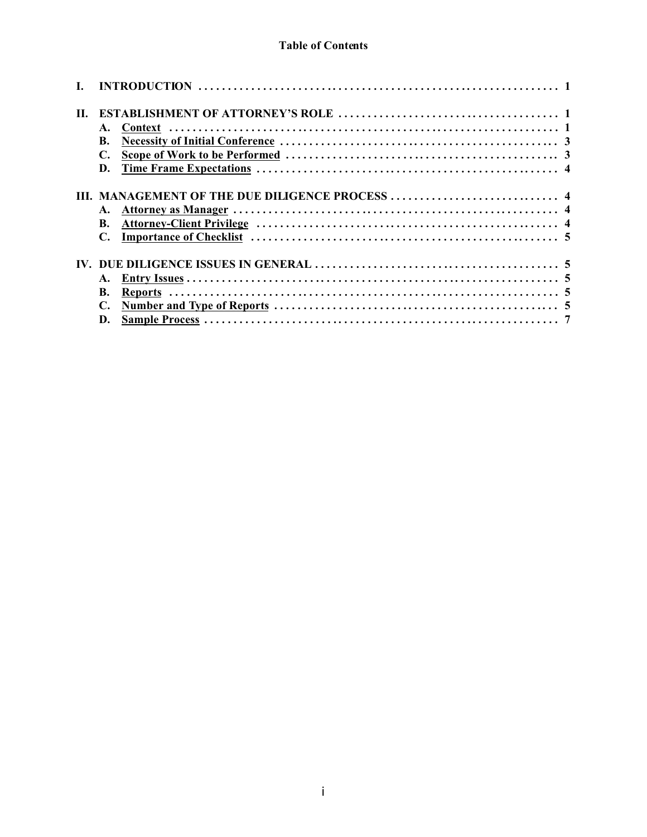## **Table of Contents**

| Н. |           |                                                 |
|----|-----------|-------------------------------------------------|
|    |           |                                                 |
|    | <b>B.</b> |                                                 |
|    | С.        |                                                 |
|    | D.        |                                                 |
|    |           |                                                 |
|    |           | III. MANAGEMENT OF THE DUE DILIGENCE PROCESS  4 |
|    |           |                                                 |
|    | <b>B.</b> |                                                 |
|    |           |                                                 |
|    |           |                                                 |
|    |           |                                                 |
|    |           |                                                 |
|    | <b>B.</b> |                                                 |
|    |           |                                                 |
|    | D.        |                                                 |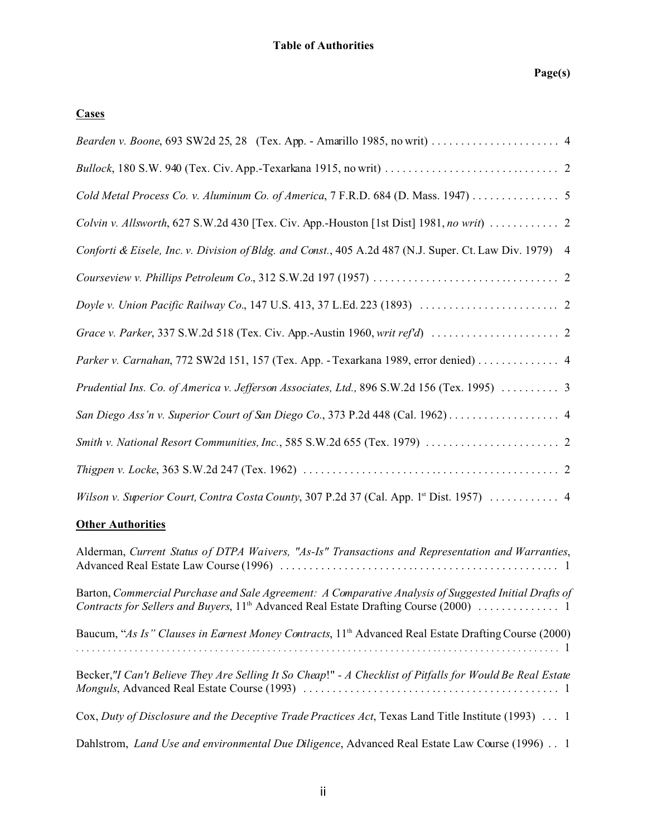## **Cases**

| Cold Metal Process Co. v. Aluminum Co. of America, 7 F.R.D. 684 (D. Mass. 1947) 5                                |
|------------------------------------------------------------------------------------------------------------------|
| Colvin v. Allsworth, 627 S.W.2d 430 [Tex. Civ. App.-Houston [1st Dist] 1981, no writ)  2                         |
| Conforti & Eisele, Inc. v. Division of Bldg. and Const., 405 A.2d 487 (N.J. Super. Ct. Law Div. 1979) 4          |
|                                                                                                                  |
|                                                                                                                  |
|                                                                                                                  |
| Parker v. Carnahan, 772 SW2d 151, 157 (Tex. App. - Texarkana 1989, error denied) 4                               |
| Prudential Ins. Co. of America v. Jefferson Associates, Ltd., 896 S.W.2d 156 (Tex. 1995)  3                      |
| San Diego Ass'n v. Superior Court of San Diego Co., 373 P.2d 448 (Cal. 1962) 4                                   |
| Smith v. National Resort Communities, Inc., 585 S.W.2d 655 (Tex. 1979) $\ldots \ldots \ldots \ldots \ldots$      |
|                                                                                                                  |
| Wilson v. Superior Court, Contra Costa County, 307 P.2d 37 (Cal. App. 1 <sup>st</sup> Dist. 1957)  4             |
| <b>Other Authorities</b>                                                                                         |
| Alderman, Current Status of DTPA Waivers, "As-Is" Transactions and Representation and Warranties,                |
| Barton, Commercial Purchase and Sale Agreement: A Comparative Analysis of Suggested Initial Drafts of            |
| Baucum, "As Is" Clauses in Earnest Money Contracts, 11 <sup>th</sup> Advanced Real Estate Drafting Course (2000) |
| Becker,"I Can't Believe They Are Selling It So Cheap!" - A Checklist of Pitfalls for Would Be Real Estate        |
| Cox, Duty of Disclosure and the Deceptive Trade Practices Act, Texas Land Title Institute (1993)  1              |
| Dahlstrom, Land Use and environmental Due Diligence, Advanced Real Estate Law Course (1996) 1                    |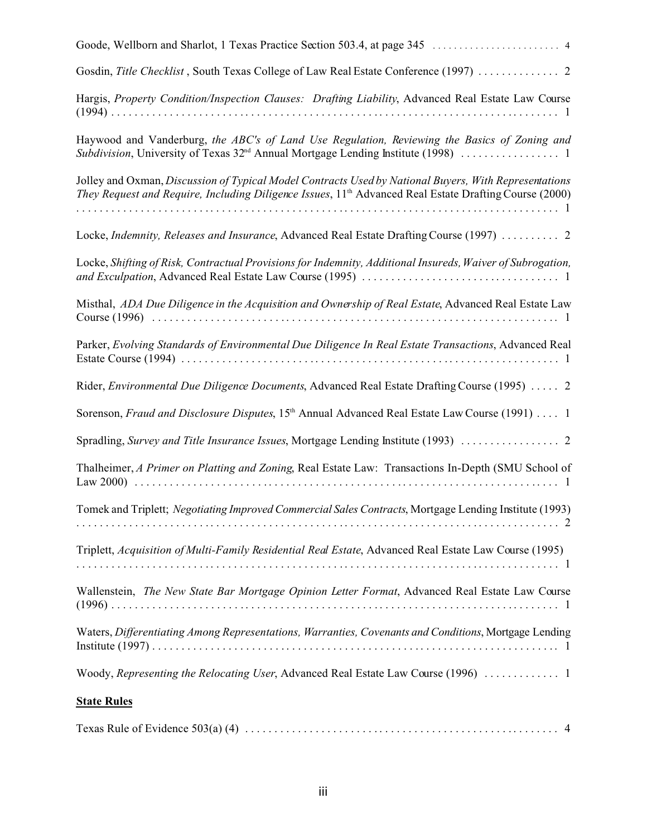| Gosdin, Title Checklist, South Texas College of Law Real Estate Conference (1997)  2                                                                                                                                        |
|-----------------------------------------------------------------------------------------------------------------------------------------------------------------------------------------------------------------------------|
| Hargis, Property Condition/Inspection Clauses: Drafting Liability, Advanced Real Estate Law Course                                                                                                                          |
| Haywood and Vanderburg, the ABC's of Land Use Regulation, Reviewing the Basics of Zoning and                                                                                                                                |
| Jolley and Oxman, Discussion of Typical Model Contracts Used by National Buyers, With Representations<br>They Request and Require, Including Diligence Issues, 11 <sup>th</sup> Advanced Real Estate Drafting Course (2000) |
| Locke, Indemnity, Releases and Insurance, Advanced Real Estate Drafting Course (1997)  2                                                                                                                                    |
| Locke, Shifting of Risk, Contractual Provisions for Indemnity, Additional Insureds, Waiver of Subrogation,                                                                                                                  |
| Misthal, ADA Due Diligence in the Acquisition and Ownership of Real Estate, Advanced Real Estate Law                                                                                                                        |
| Parker, Evolving Standards of Environmental Due Diligence In Real Estate Transactions, Advanced Real                                                                                                                        |
| Rider, Environmental Due Diligence Documents, Advanced Real Estate Drafting Course (1995)  2                                                                                                                                |
| Sorenson, Fraud and Disclosure Disputes, 15th Annual Advanced Real Estate Law Course (1991)  1                                                                                                                              |
| Spradling, Survey and Title Insurance Issues, Mortgage Lending Institute (1993)  2                                                                                                                                          |
| Thalheimer, A Primer on Platting and Zoning, Real Estate Law: Transactions In-Depth (SMU School of                                                                                                                          |
| Tomek and Triplett; Negotiating Improved Commercial Sales Contracts, Mortgage Lending Institute (1993)                                                                                                                      |
| Triplett, Acquisition of Multi-Family Residential Real Estate, Advanced Real Estate Law Course (1995)                                                                                                                       |
| Wallenstein, The New State Bar Mortgage Opinion Letter Format, Advanced Real Estate Law Course                                                                                                                              |
| Waters, Differentiating Among Representations, Warranties, Covenants and Conditions, Mortgage Lending                                                                                                                       |
| Woody, Representing the Relocating User, Advanced Real Estate Law Course (1996)  1                                                                                                                                          |
| <b>State Rules</b>                                                                                                                                                                                                          |
|                                                                                                                                                                                                                             |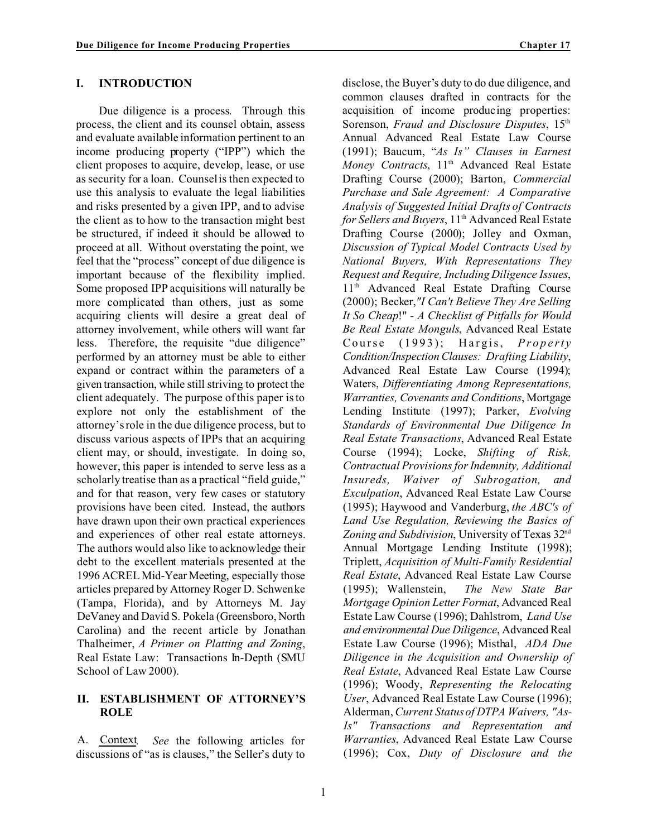#### **I. INTRODUCTION**

Due diligence is a process. Through this process, the client and its counsel obtain, assess and evaluate available information pertinent to an income producing property ("IPP") which the client proposes to acquire, develop, lease, or use as security for a loan. Counsel is then expected to use this analysis to evaluate the legal liabilities and risks presented by a given IPP, and to advise the client as to how to the transaction might best be structured, if indeed it should be allowed to proceed at all. Without overstating the point, we feel that the "process" concept of due diligence is important because of the flexibility implied. Some proposed IPP acquisitions will naturally be more complicated than others, just as some acquiring clients will desire a great deal of attorney involvement, while others will want far less. Therefore, the requisite "due diligence" performed by an attorney must be able to either expand or contract within the parameters of a given transaction, while still striving to protect the client adequately. The purpose of this paper is to explore not only the establishment of the attorney's role in the due diligence process, but to discuss various aspects of IPPs that an acquiring client may, or should, investigate. In doing so, however, this paper is intended to serve less as a scholarly treatise than as a practical "field guide," and for that reason, very few cases or statutory provisions have been cited. Instead, the authors have drawn upon their own practical experiences and experiences of other real estate attorneys. The authors would also like to acknowledge their debt to the excellent materials presented at the 1996 ACREL Mid-Year Meeting, especially those articles prepared by Attorney Roger D. Schwenke (Tampa, Florida), and by Attorneys M. Jay DeVaney and David S. Pokela (Greensboro, North Carolina) and the recent article by Jonathan Thalheimer, *A Primer on Platting and Zoning*, Real Estate Law: Transactions In-Depth (SMU School of Law 2000).

#### **II. ESTABLISHMENT OF ATTORNEY'S ROLE**

A. Context. *See* the following articles for discussions of "as is clauses," the Seller's duty to

disclose, the Buyer's duty to do due diligence, and common clauses drafted in contracts for the acquisition of income producing properties: Sorenson, *Fraud and Disclosure Disputes*, 15<sup>th</sup> Annual Advanced Real Estate Law Course (1991); Baucum, "*As Is" Clauses in Earnest Money Contracts*, 11<sup>th</sup> Advanced Real Estate Drafting Course (2000); Barton, *Commercial Purchase and Sale Agreement: A Comparative Analysis of Suggested Initial Drafts of Contracts for Sellers and Buyers*, 11<sup>th</sup> Advanced Real Estate Drafting Course (2000); Jolley and Oxman, *Discussion of Typical Model Contracts Used by National Buyers, With Representations They Request and Require, Including Diligence Issues*, 11<sup>th</sup> Advanced Real Estate Drafting Course (2000); Becker,*"I Can't Believe They Are Selling It So Cheap*!" *- A Checklist of Pitfalls for Would Be Real Estate Monguls*, Advanced Real Estate Course (1993); Hargis, *Property Condition/InspectionClauses: Drafting Liability*, Advanced Real Estate Law Course (1994); Waters, *Differentiating Among Representations, Warranties, Covenants and Conditions*, Mortgage Lending Institute (1997); Parker, *Evolving Standards of Environmental Due Diligence In Real Estate Transactions*, Advanced Real Estate Course (1994); Locke, *Shifting of Risk, Contractual Provisions for Indemnity, Additional Insureds, Waiver of Subrogation, and Exculpation*, Advanced Real Estate Law Course (1995); Haywood and Vanderburg, *the ABC's of Land Use Regulation, Reviewing the Basics of* Zoning and Subdivision, University of Texas 32<sup>nd</sup> Annual Mortgage Lending Institute (1998); Triplett, *Acquisition of Multi-Family Residential Real Estate*, Advanced Real Estate Law Course (1995); Wallenstein, *The New State Bar Mortgage Opinion Letter Format*, Advanced Real Estate Law Course (1996); Dahlstrom, *Land Use and environmental Due Diligence*, Advanced Real Estate Law Course (1996); Misthal, *ADA Due Diligence in the Acquisition and Ownership of Real Estate*, Advanced Real Estate Law Course (1996); Woody, *Representing the Relocating User*, Advanced Real Estate Law Course (1996); Alderman,*Current Status of DTPA Waivers, "As-Is" Transactions and Representation and Warranties*, Advanced Real Estate Law Course (1996); Cox, *Duty of Disclosure and the*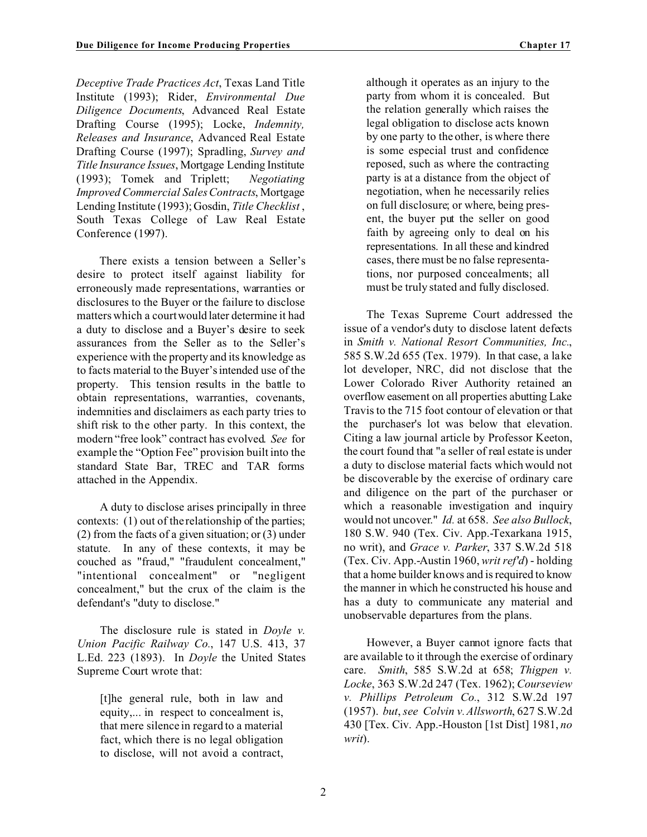*Deceptive Trade Practices Act*, Texas Land Title Institute (1993); Rider, *Environmental Due Diligence Documents*, Advanced Real Estate Drafting Course (1995); Locke, *Indemnity, Releases and Insurance*, Advanced Real Estate Drafting Course (1997); Spradling, *Survey and Title Insurance Issues*, Mortgage Lending Institute (1993); Tomek and Triplett; *Negotiating Improved Commercial Sales Contracts*, Mortgage Lending Institute (1993); Gosdin, *Title Checklist* , South Texas College of Law Real Estate Conference (1997).

There exists a tension between a Seller's desire to protect itself against liability for erroneously made representations, warranties or disclosures to the Buyer or the failure to disclose matters which a courtwould later determine it had a duty to disclose and a Buyer's desire to seek assurances from the Seller as to the Seller's experience with the property and its knowledge as to facts material to the Buyer'sintended use of the property. This tension results in the battle to obtain representations, warranties, covenants, indemnities and disclaimers as each party tries to shift risk to the other party. In this context, the modern "free look" contract has evolved. *See* for example the "Option Fee" provision built into the standard State Bar, TREC and TAR forms attached in the Appendix.

A duty to disclose arises principally in three contexts: (1) out of the relationship of the parties; (2) from the facts of a given situation; or (3) under statute. In any of these contexts, it may be couched as "fraud," "fraudulent concealment," "intentional concealment" or "negligent concealment," but the crux of the claim is the defendant's "duty to disclose."

The disclosure rule is stated in *Doyle v. Union Pacific Railway Co.*, 147 U.S. 413, 37 L.Ed. 223 (1893). In *Doyle* the United States Supreme Court wrote that:

[t]he general rule, both in law and equity,... in respect to concealment is, that mere silence in regard to a material fact, which there is no legal obligation to disclose, will not avoid a contract,

although it operates as an injury to the party from whom it is concealed. But the relation generally which raises the legal obligation to disclose acts known by one party to the other, is where there is some especial trust and confidence reposed, such as where the contracting party is at a distance from the object of negotiation, when he necessarily relies on full disclosure; or where, being present, the buyer put the seller on good faith by agreeing only to deal on his representations. In all these and kindred cases, there must be no false representations, nor purposed concealments; all must be truly stated and fully disclosed.

The Texas Supreme Court addressed the issue of a vendor's duty to disclose latent defects in *Smith v. National Resort Communities, Inc.*, 585 S.W.2d 655 (Tex. 1979). In that case, a lake lot developer, NRC, did not disclose that the Lower Colorado River Authority retained an overflow easement on all properties abutting Lake Travis to the 715 foot contour of elevation or that the purchaser's lot was below that elevation. Citing a law journal article by Professor Keeton, the court found that "a seller of real estate is under a duty to disclose material facts which would not be discoverable by the exercise of ordinary care and diligence on the part of the purchaser or which a reasonable investigation and inquiry would not uncover." *Id.* at 658. *See also Bullock*, 180 S.W. 940 (Tex. Civ. App.-Texarkana 1915, no writ), and *Grace v. Parker*, 337 S.W.2d 518 (Tex. Civ. App.-Austin 1960, *writ ref'd*) - holding that a home builder knows and is required to know the manner in which he constructed his house and has a duty to communicate any material and unobservable departures from the plans.

However, a Buyer cannot ignore facts that are available to it through the exercise of ordinary care. *Smith*, 585 S.W.2d at 658; *Thigpen v. Locke*, 363 S.W.2d 247 (Tex. 1962); *Courseview v. Phillips Petroleum Co.*, 312 S.W.2d 197 (1957). *but*, *see Colvin v. Allsworth*, 627 S.W.2d 430 [Tex. Civ. App.-Houston [1st Dist] 1981, *no writ*).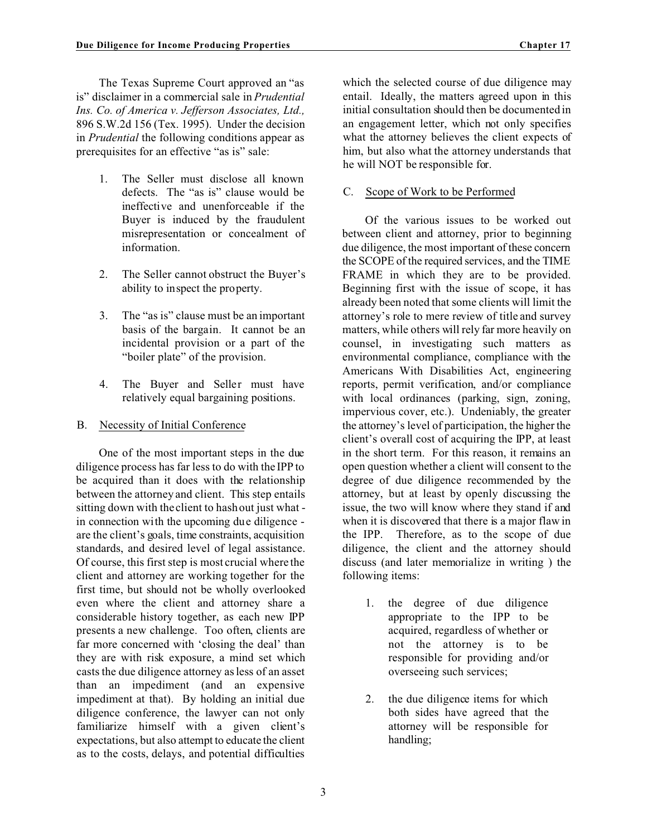- 1. The Seller must disclose all known defects. The "as is" clause would be ineffective and unenforceable if the Buyer is induced by the fraudulent misrepresentation or concealment of information.
- 2. The Seller cannot obstruct the Buyer's ability to inspect the property.
- 3. The "as is" clause must be an important basis of the bargain. It cannot be an incidental provision or a part of the "boiler plate" of the provision.
- 4. The Buyer and Seller must have relatively equal bargaining positions.
- B. Necessity of Initial Conference

One of the most important steps in the due diligence process has far less to do with the IPP to be acquired than it does with the relationship between the attorney and client. This step entails sitting down with the client to hash out just what in connection with the upcoming due diligence are the client's goals, time constraints, acquisition standards, and desired level of legal assistance. Of course, this first step is most crucial where the client and attorney are working together for the first time, but should not be wholly overlooked even where the client and attorney share a considerable history together, as each new IPP presents a new challenge. Too often, clients are far more concerned with 'closing the deal' than they are with risk exposure, a mind set which casts the due diligence attorney as less of an asset than an impediment (and an expensive impediment at that). By holding an initial due diligence conference, the lawyer can not only familiarize himself with a given client's expectations, but also attempt to educate the client as to the costs, delays, and potential difficulties

which the selected course of due diligence may entail. Ideally, the matters agreed upon in this initial consultation should then be documented in an engagement letter, which not only specifies what the attorney believes the client expects of him, but also what the attorney understands that he will NOT be responsible for.

### C. Scope of Work to be Performed

Of the various issues to be worked out between client and attorney, prior to beginning due diligence, the most important of these concern the SCOPE of the required services, and the TIME FRAME in which they are to be provided. Beginning first with the issue of scope, it has already been noted that some clients will limit the attorney's role to mere review of title and survey matters, while others will rely far more heavily on counsel, in investigating such matters as environmental compliance, compliance with the Americans With Disabilities Act, engineering reports, permit verification, and/or compliance with local ordinances (parking, sign, zoning, impervious cover, etc.). Undeniably, the greater the attorney's level of participation, the higher the client's overall cost of acquiring the IPP, at least in the short term. For this reason, it remains an open question whether a client will consent to the degree of due diligence recommended by the attorney, but at least by openly discussing the issue, the two will know where they stand if and when it is discovered that there is a major flaw in the IPP. Therefore, as to the scope of due diligence, the client and the attorney should discuss (and later memorialize in writing ) the following items:

- 1. the degree of due diligence appropriate to the IPP to be acquired, regardless of whether or not the attorney is to be responsible for providing and/or overseeing such services;
- 2. the due diligence items for which both sides have agreed that the attorney will be responsible for handling;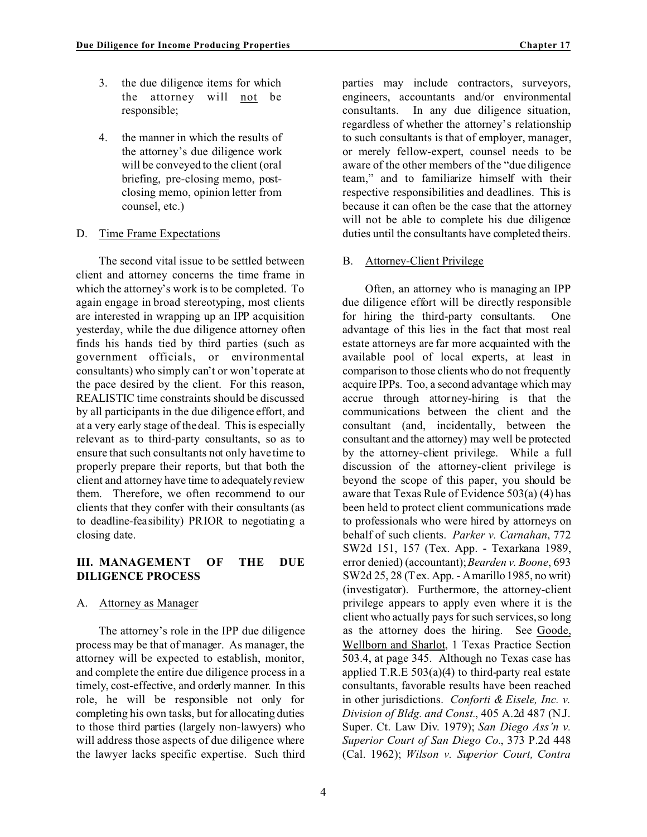- 3. the due diligence items for which the attorney will not be responsible;
- 4. the manner in which the results of the attorney's due diligence work will be conveyed to the client (oral briefing, pre-closing memo, postclosing memo, opinion letter from counsel, etc.)

### D. Time Frame Expectations

The second vital issue to be settled between client and attorney concerns the time frame in which the attorney's work is to be completed. To again engage in broad stereotyping, most clients are interested in wrapping up an IPP acquisition yesterday, while the due diligence attorney often finds his hands tied by third parties (such as government officials, or environmental consultants) who simply can't or won't operate at the pace desired by the client. For this reason, REALISTIC time constraints should be discussed by all participants in the due diligence effort, and at a very early stage of the deal. This is especially relevant as to third-party consultants, so as to ensure that such consultants not only have time to properly prepare their reports, but that both the client and attorney have time to adequatelyreview them. Therefore, we often recommend to our clients that they confer with their consultants (as to deadline-feasibility) PRIOR to negotiating a closing date.

## **III. MANAGEMENT OF THE DUE DILIGENCE PROCESS**

### A. Attorney as Manager

The attorney's role in the IPP due diligence process may be that of manager. As manager, the attorney will be expected to establish, monitor, and complete the entire due diligence process in a timely, cost-effective, and orderly manner. In this role, he will be responsible not only for completing his own tasks, but for allocating duties to those third parties (largely non-lawyers) who will address those aspects of due diligence where the lawyer lacks specific expertise. Such third parties may include contractors, surveyors, engineers, accountants and/or environmental consultants. In any due diligence situation, regardless of whether the attorney's relationship to such consultants is that of employer, manager, or merely fellow-expert, counsel needs to be aware of the other members of the "due diligence team," and to familiarize himself with their respective responsibilities and deadlines. This is because it can often be the case that the attorney will not be able to complete his due diligence duties until the consultants have completed theirs.

### B. Attorney-Client Privilege

Often, an attorney who is managing an IPP due diligence effort will be directly responsible for hiring the third-party consultants. One advantage of this lies in the fact that most real estate attorneys are far more acquainted with the available pool of local experts, at least in comparison to those clients who do not frequently acquire IPPs. Too, a second advantage which may accrue through attorney-hiring is that the communications between the client and the consultant (and, incidentally, between the consultant and the attorney) may well be protected by the attorney-client privilege. While a full discussion of the attorney-client privilege is beyond the scope of this paper, you should be aware that Texas Rule of Evidence 503(a) (4) has been held to protect client communications made to professionals who were hired by attorneys on behalf of such clients. *Parker v. Carnahan*, 772 SW2d 151, 157 (Tex. App. - Texarkana 1989, error denied) (accountant);*Bearden v. Boone*, 693 SW2d 25, 28 (Tex. App. - Amarillo 1985, no writ) (investigator). Furthermore, the attorney-client privilege appears to apply even where it is the client who actually pays for such services, so long as the attorney does the hiring. See Goode, Wellborn and Sharlot, 1 Texas Practice Section 503.4, at page 345. Although no Texas case has applied T.R.E  $503(a)(4)$  to third-party real estate consultants, favorable results have been reached in other jurisdictions. *Conforti & Eisele, Inc. v. Division of Bldg. and Const.*, 405 A.2d 487 (N.J. Super. Ct. Law Div. 1979); *San Diego Ass'n v. Superior Court of San Diego Co.*, 373 P.2d 448 (Cal. 1962); *Wilson v. Superior Court, Contra*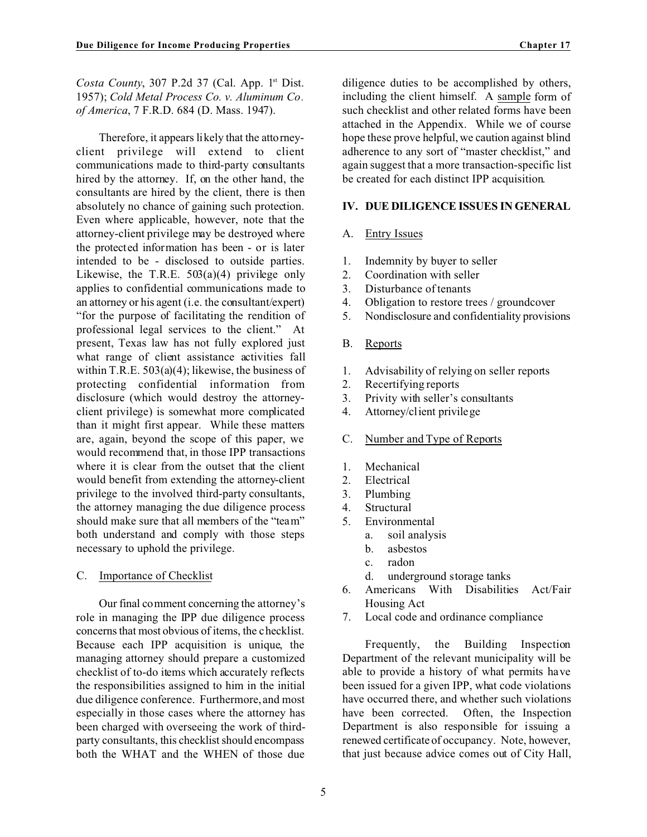*Costa County*, 307 P.2d 37 (Cal. App. 1<sup>st</sup> Dist. 1957); *Cold Metal Process Co. v. Aluminum Co. of America*, 7 F.R.D. 684 (D. Mass. 1947).

Therefore, it appears likely that the attorneyclient privilege will extend to client communications made to third-party consultants hired by the attorney. If, on the other hand, the consultants are hired by the client, there is then absolutely no chance of gaining such protection. Even where applicable, however, note that the attorney-client privilege may be destroyed where the protected information has been - or is later intended to be - disclosed to outside parties. Likewise, the T.R.E.  $503(a)(4)$  privilege only applies to confidential communications made to an attorney or his agent (i.e. the consultant/expert) "for the purpose of facilitating the rendition of professional legal services to the client." At present, Texas law has not fully explored just what range of client assistance activities fall within T.R.E. 503(a)(4); likewise, the business of protecting confidential information from disclosure (which would destroy the attorneyclient privilege) is somewhat more complicated than it might first appear. While these matters are, again, beyond the scope of this paper, we would recommend that, in those IPP transactions where it is clear from the outset that the client would benefit from extending the attorney-client privilege to the involved third-party consultants, the attorney managing the due diligence process should make sure that all members of the "team" both understand and comply with those steps necessary to uphold the privilege.

#### C. Importance of Checklist

Our final comment concerning the attorney's role in managing the IPP due diligence process concernsthat most obvious of items, the checklist. Because each IPP acquisition is unique, the managing attorney should prepare a customized checklist of to-do items which accurately reflects the responsibilities assigned to him in the initial due diligence conference. Furthermore, and most especially in those cases where the attorney has been charged with overseeing the work of thirdparty consultants, this checklist should encompass both the WHAT and the WHEN of those due

diligence duties to be accomplished by others, including the client himself. A sample form of such checklist and other related forms have been attached in the Appendix. While we of course hope these prove helpful, we caution against blind adherence to any sort of "master checklist," and again suggest that a more transaction-specific list be created for each distinct IPP acquisition.

#### **IV. DUE DILIGENCE ISSUES IN GENERAL**

#### A. Entry Issues

- 1. Indemnity by buyer to seller
- 2. Coordination with seller
- 3. Disturbance of tenants
- 4. Obligation to restore trees / groundcover
- 5. Nondisclosure and confidentiality provisions
- B. Reports
- 1. Advisability of relying on seller reports
- 2. Recertifying reports
- 3. Privity with seller's consultants
- 4. Attorney/client privilege
- C. Number and Type of Reports
- 1. Mechanical
- 2. Electrical
- 3. Plumbing
- 4. Structural
- 5. Environmental
	- a. soil analysis
		- b. asbestos
		- c. radon
	- d. underground storage tanks
- 6. Americans With Disabilities Act/Fair Housing Act
- 7. Local code and ordinance compliance

Frequently, the Building Inspection Department of the relevant municipality will be able to provide a history of what permits have been issued for a given IPP, what code violations have occurred there, and whether such violations have been corrected. Often, the Inspection Department is also responsible for issuing a renewed certificate of occupancy. Note, however, that just because advice comes out of City Hall,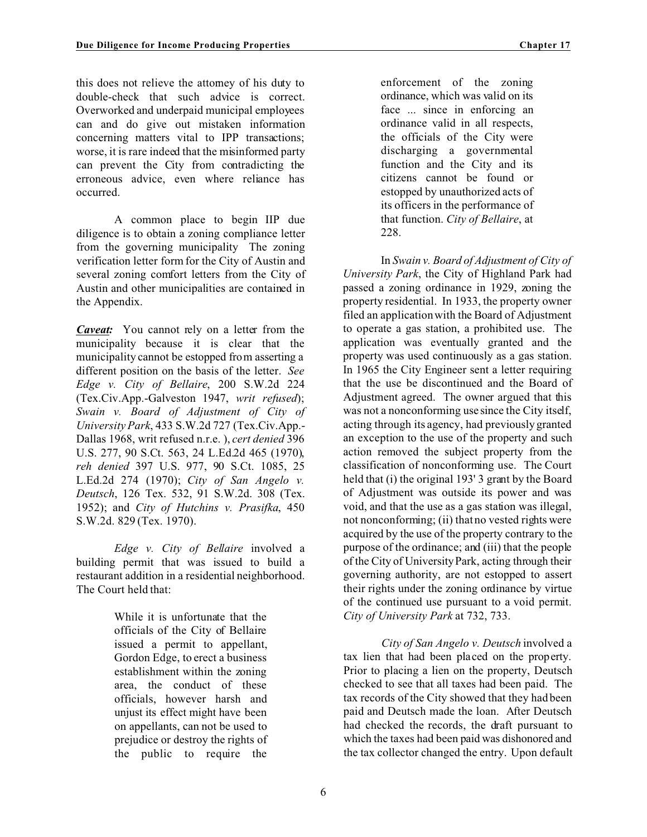this does not relieve the attorney of his duty to double-check that such advice is correct. Overworked and underpaid municipal employees can and do give out mistaken information concerning matters vital to IPP transactions; worse, it is rare indeed that the misinformed party can prevent the City from contradicting the erroneous advice, even where reliance has occurred.

A common place to begin IIP due diligence is to obtain a zoning compliance letter from the governing municipality The zoning verification letter form for the City of Austin and several zoning comfort letters from the City of Austin and other municipalities are contained in the Appendix.

*Caveat:* You cannot rely on a letter from the municipality because it is clear that the municipality cannot be estopped from asserting a different position on the basis of the letter. *See Edge v. City of Bellaire*, 200 S.W.2d 224 (Tex.Civ.App.-Galveston 1947, *writ refused*); *Swain v. Board of Adjustment of City of University Park*, 433 S.W.2d 727 (Tex.Civ.App.- Dallas 1968, writ refused n.r.e. ), *cert denied* 396 U.S. 277, 90 S.Ct. 563, 24 L.Ed.2d 465 (1970), *reh denied* 397 U.S. 977, 90 S.Ct. 1085, 25 L.Ed.2d 274 (1970); *City of San Angelo v. Deutsch*, 126 Tex. 532, 91 S.W.2d. 308 (Tex. 1952); and *City of Hutchins v. Prasifka*, 450 S.W.2d. 829 (Tex. 1970).

*Edge v. City of Bellaire* involved a building permit that was issued to build a restaurant addition in a residential neighborhood. The Court held that:

> While it is unfortunate that the officials of the City of Bellaire issued a permit to appellant, Gordon Edge, to erect a business establishment within the zoning area, the conduct of these officials, however harsh and unjust its effect might have been on appellants, can not be used to prejudice or destroy the rights of the public to require the

enforcement of the zoning ordinance, which was valid on its face ... since in enforcing an ordinance valid in all respects, the officials of the City were discharging a governmental function and the City and its citizens cannot be found or estopped by unauthorized acts of its officers in the performance of that function. *City of Bellaire*, at 228.

In *Swain v. Board of Adjustment of City of University Park*, the City of Highland Park had passed a zoning ordinance in 1929, zoning the property residential. In 1933, the property owner filed an application with the Board of Adjustment to operate a gas station, a prohibited use. The application was eventually granted and the property was used continuously as a gas station. In 1965 the City Engineer sent a letter requiring that the use be discontinued and the Board of Adjustment agreed. The owner argued that this was not a nonconforming use since the City itself, acting through its agency, had previously granted an exception to the use of the property and such action removed the subject property from the classification of nonconforming use. The Court held that (i) the original 193' 3 grant by the Board of Adjustment was outside its power and was void, and that the use as a gas station was illegal, not nonconforming; (ii) that no vested rights were acquired by the use of the property contrary to the purpose of the ordinance; and (iii) that the people of the City of University Park, acting through their governing authority, are not estopped to assert their rights under the zoning ordinance by virtue of the continued use pursuant to a void permit. *City of University Park* at 732, 733.

*City of San Angelo v. Deutsch* involved a tax lien that had been placed on the property. Prior to placing a lien on the property, Deutsch checked to see that all taxes had been paid. The tax records of the City showed that they had been paid and Deutsch made the loan. After Deutsch had checked the records, the draft pursuant to which the taxes had been paid was dishonored and the tax collector changed the entry. Upon default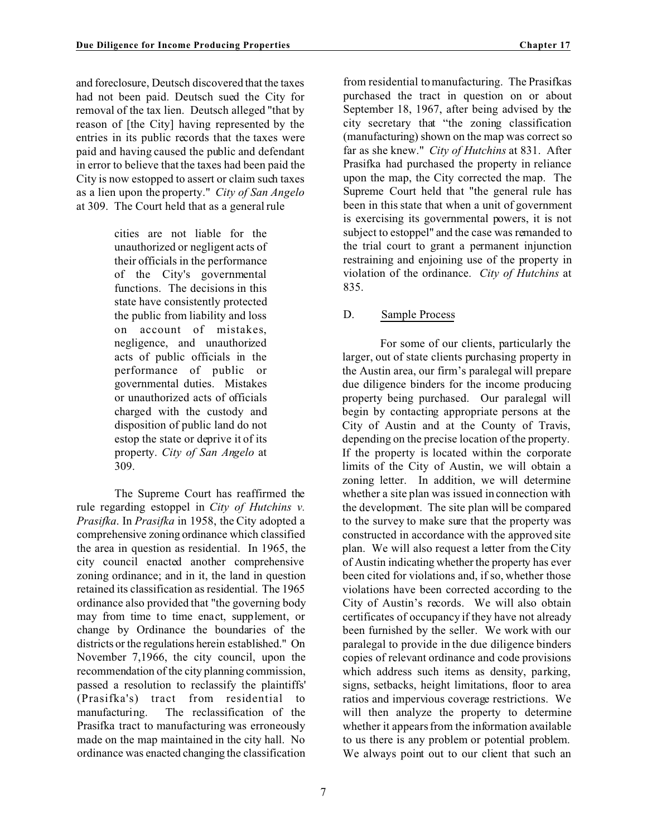and foreclosure, Deutsch discovered that the taxes had not been paid. Deutsch sued the City for removal of the tax lien. Deutsch alleged "that by reason of [the City] having represented by the entries in its public records that the taxes were paid and having caused the public and defendant in error to believe that the taxes had been paid the City is now estopped to assert or claim such taxes as a lien upon the property." *City of San Angelo* at 309. The Court held that as a general rule

> cities are not liable for the unauthorized or negligent acts of their officials in the performance of the City's governmental functions. The decisions in this state have consistently protected the public from liability and loss on account of mistakes, negligence, and unauthorized acts of public officials in the performance of public or governmental duties. Mistakes or unauthorized acts of officials charged with the custody and disposition of public land do not estop the state or deprive it of its property. *City of San Angelo* at 309.

The Supreme Court has reaffirmed the rule regarding estoppel in *City of Hutchins v. Prasifka*. In *Prasifka* in 1958, the City adopted a comprehensive zoning ordinance which classified the area in question as residential. In 1965, the city council enacted another comprehensive zoning ordinance; and in it, the land in question retained its classification as residential. The 1965 ordinance also provided that "the governing body may from time to time enact, supplement, or change by Ordinance the boundaries of the districts or the regulations herein established." On November 7,1966, the city council, upon the recommendation of the city planning commission, passed a resolution to reclassify the plaintiffs' (Prasifka's) tract from residential to manufacturing. The reclassification of the Prasifka tract to manufacturing was erroneously made on the map maintained in the city hall. No ordinance was enacted changing the classification from residential to manufacturing. The Prasifkas purchased the tract in question on or about September 18, 1967, after being advised by the city secretary that "the zoning classification (manufacturing) shown on the map was correct so far as she knew." *City of Hutchins* at 831. After Prasifka had purchased the property in reliance upon the map, the City corrected the map. The Supreme Court held that "the general rule has been in this state that when a unit of government is exercising its governmental powers, it is not subject to estoppel" and the case was remanded to the trial court to grant a permanent injunction restraining and enjoining use of the property in violation of the ordinance. *City of Hutchins* at 835.

## D. Sample Process

For some of our clients, particularly the larger, out of state clients purchasing property in the Austin area, our firm's paralegal will prepare due diligence binders for the income producing property being purchased. Our paralegal will begin by contacting appropriate persons at the City of Austin and at the County of Travis, depending on the precise location of the property. If the property is located within the corporate limits of the City of Austin, we will obtain a zoning letter. In addition, we will determine whether a site plan was issued in connection with the development. The site plan will be compared to the survey to make sure that the property was constructed in accordance with the approved site plan. We will also request a letter from the City of Austin indicating whether the property has ever been cited for violations and, if so, whether those violations have been corrected according to the City of Austin's records. We will also obtain certificates of occupancy if they have not already been furnished by the seller. We work with our paralegal to provide in the due diligence binders copies of relevant ordinance and code provisions which address such items as density, parking, signs, setbacks, height limitations, floor to area ratios and impervious coverage restrictions. We will then analyze the property to determine whether it appears from the information available to us there is any problem or potential problem. We always point out to our client that such an